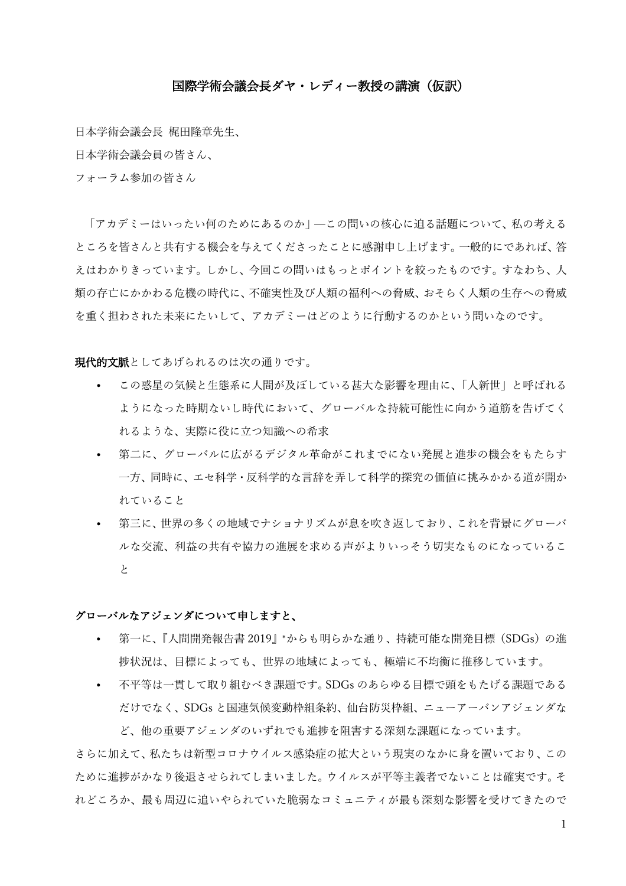### 国際学術会議会長ダヤ・レディー教授の講演(仮訳)

日本学術会議会長 梶田隆章先生、

日本学術会議会員の皆さん、

フォーラム参加の皆さん

「アカデミーはいったい何のためにあるのか」—この問いの核心に迫る話題について、私の考える ところを皆さんと共有する機会を与えてくださったことに感謝申し上げます。一般的にであれば、答 えはわかりきっています。しかし、今回この問いはもっとポイントを絞ったものです。すなわち、人 類の存亡にかかわる危機の時代に、不確実性及び人類の福利への脅威、おそらく人類の生存への脅威 を重く担わされた未来にたいして、アカデミーはどのように行動するのかという問いなのです。

現代的文脈としてあげられるのは次の通りです。

- この惑星の気候と生態系に人間が及ぼしている甚大な影響を理由に、「人新世」と呼ばれる ようになった時期ないし時代において、グローバルな持続可能性に向かう道筋を告げてく れるような、実際に役に立つ知識への希求
- 第二に、グローバルに広がるデジタル革命がこれまでにない発展と進歩の機会をもたらす 一方、同時に、エセ科学・反科学的な言辞を弄して科学的探究の価値に挑みかかる道が開か れていること
- 第三に、世界の多くの地域でナショナリズムが息を吹き返しており、これを背景にグローバ ルな交流、利益の共有や協力の進展を求める声がよりいっそう切実なものになっているこ と

#### グローバルなアジェンダについて申しますと、

- 第一に、『人間開発報告書 2019』[∗](#page-3-0)からも明らかな通り、持続可能な開発目標(SDGs)の進 捗状況は、目標によっても、世界の地域によっても、極端に不均衡に推移しています。
- 不平等は一貫して取り組むべき課題です。SDGs のあらゆる目標で頭をもたげる課題である だけでなく、SDGs と国連気候変動枠組条約、仙台防災枠組、ニューアーバンアジェンダな ど、他の重要アジェンダのいずれでも進捗を阻害する深刻な課題になっています。

さらに加えて、私たちは新型コロナウイルス感染症の拡大という現実のなかに身を置いており、この ために進捗がかなり後退させられてしまいました。ウイルスが平等主義者でないことは確実です。そ れどころか、最も周辺に追いやられていた脆弱なコミュニティが最も深刻な影響を受けてきたので

1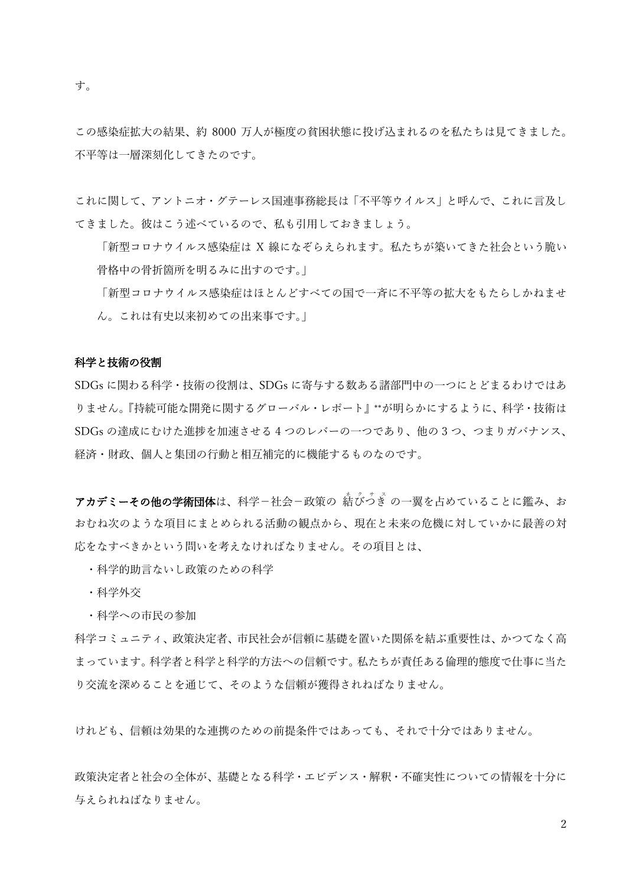す。

この感染症拡大の結果、約 8000 万人が極度の貧困状態に投げ込まれるのを私たちは見てきました。 不平等は一層深刻化してきたのです。

これに関して、アントニオ・グテーレス国連事務総長は「不平等ウイルス」と呼んで、これに言及し てきました。彼はこう述べているので、私も引用しておきましょう。

「新型コロナウイルス感染症は X 線になぞらえられます。私たちが築いてきた社会という脆い 骨格中の骨折箇所を明るみに出すのです。」

「新型コロナウイルス感染症はほとんどすべての国で一斉に不平等の拡大をもたらしかねませ ん。これは有史以来初めての出来事です。」

#### 科学と技術の役割

SDGs に関わる科学・技術の役割は、SDGs に寄与する数ある諸部門中の一つにとどまるわけではあ りません。『持続可能な開発に関するグローバル・レポート』[∗∗](#page-3-1)が明らかにするように、科学・技術は SDGs の達成にむけた進捗を加速させる 4 つのレバーの一つであり、他の 3 つ、つまりガバナンス、 経済・財政、個人と集団の行動と相互補完的に機能するものなのです。

アカデミーその他の学術団体は、科学−社会−政策の 結びつぎ の一翼を占めていることに鑑み、お おむね次のような項目にまとめられる活動の観点から、現在と未来の危機に対していかに最善の対 応をなすべきかという問いを考えなければなりません。その項目とは、

・科学的助言ないし政策のための科学

- ・科学外交
- ・科学への市民の参加

科学コミュニティ、政策決定者、市民社会が信頼に基礎を置いた関係を結ぶ重要性は、かつてなく高 まっています。科学者と科学と科学的方法への信頼です。私たちが責任ある倫理的態度で仕事に当た り交流を深めることを通じて、そのような信頼が獲得されねばなりません。

けれども、信頼は効果的な連携のための前提条件ではあっても、それで十分ではありません。

政策決定者と社会の全体が、基礎となる科学・エビデンス・解釈・不確実性についての情報を十分に 与えられねばなりません。

2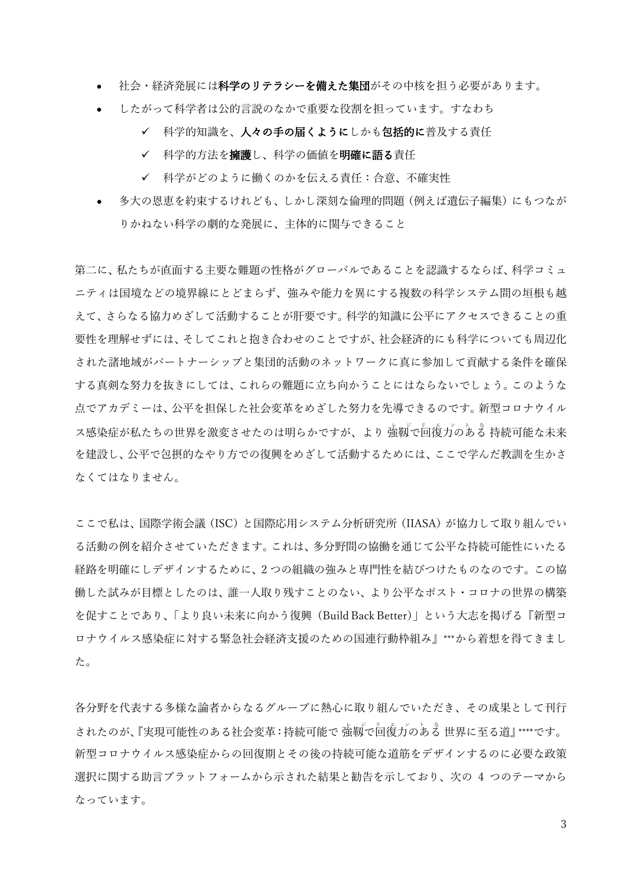- 社会・経済発展には科学のリテラシーを備えた集団がその中核を担う必要があります。
- したがって科学者は公的言説のなかで重要な役割を担っています。すなわち
	- ✔ 科学的知識を、人々の手の届くようにしかも包括的に普及する責任
	- 科学的方法を擁護し、科学の価値を明確に語る責任
	- 科学がどのように働くのかを伝える責任:合意、不確実性
- 多大の恩恵を約束するけれども、しかし深刻な倫理的問題(例えば遺伝子編集)にもつなが りかねない科学の劇的な発展に、主体的に関与できること

第二に、私たちが直面する主要な難題の性格がグローバルであることを認識するならば、科学コミュ ニティは国境などの境界線にとどまらず、強みや能力を異にする複数の科学システム間の垣根も越 えて、さらなる協力めざして活動することが肝要です。科学的知識に公平にアクセスできることの重 要性を理解せずには、そしてこれと抱き合わせのことですが、社会経済的にも科学についても周辺化 された諸地域がパートナーシップと集団的活動のネットワークに真に参加して貢献する条件を確保 する真剣な努力を抜きにしては、これらの難題に立ち向かうことにはならないでしょう。このような 点でアカデミーは、公平を担保した社会変革をめざした努力を先導できるのです。新型コロナウイル ス感染症が私たちの世界を激変させたのは明らかですが、より 強靱で回復力のある 持続可能な未来 を建設し、公平で包摂的なやり方での復興をめざして活動するためには、ここで学んだ教訓を生かさ なくてはなりません。

ここで私は、国際学術会議(ISC)と国際応用システム分析研究所(IIASA)が協力して取り組んでい る活動の例を紹介させていただきます。これは、多分野間の協働を通じて公平な持続可能性にいたる 経路を明確にしデザインするために、2 つの組織の強みと専門性を結びつけたものなのです。この協 働した試みが目標としたのは、誰一人取り残すことのない、より公平なポスト・コロナの世界の構築 を促すことであり、「より良い未来に向かう復興(Build Back Better)」という大志を掲げる『新型コ ロナウイルス感染症に対する緊急社会経済支援のための国連行動枠組み』[∗∗∗](#page-3-2)から着想を得てきまし た。

各分野を代表する多様な論者からなるグループに熱心に取り組んでいただき、その成果として刊行 されたのが、『実現可能性のある社会変革:持続可能で 強靱で回復力のある レジリエントな 世界に至る道』[∗∗∗∗](#page-3-3)です。 新型コロナウイルス感染症からの回復期とその後の持続可能な道筋をデザインするのに必要な政策 選択に関する助言プラットフォームから示された結果と勧告を示しており、次の 4 つのテーマから なっています。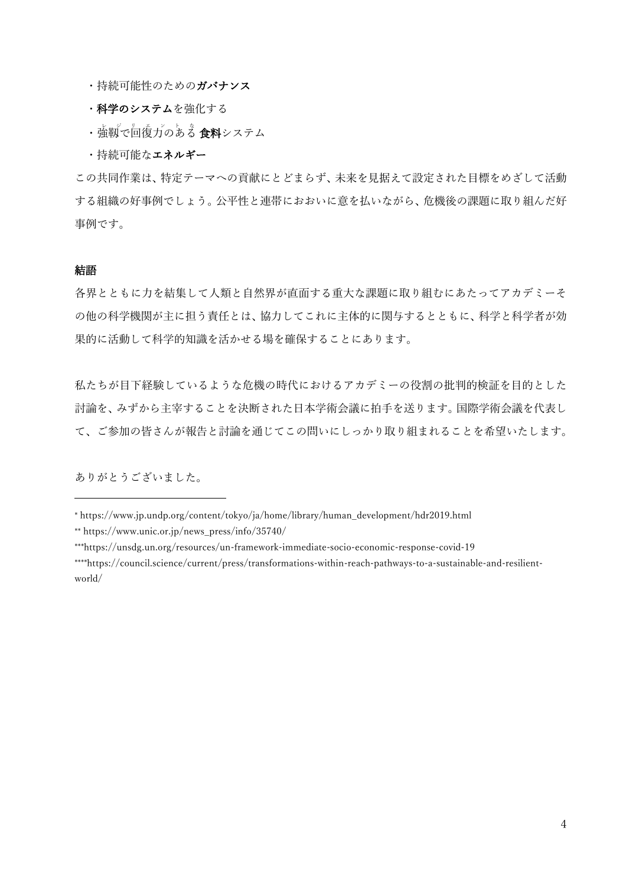- ・持続可能性のためのガバナンス
- ・科学のシステムを強化する
- ・強靱で回復ガのある 食料システム
- ・持続可能なエネルギー

この共同作業は、特定テーマへの貢献にとどまらず、未来を見据えて設定された目標をめざして活動 する組織の好事例でしょう。公平性と連帯におおいに意を払いながら、危機後の課題に取り組んだ好 事例です。

#### 結語

I

各界とともに力を結集して人類と自然界が直面する重大な課題に取り組むにあたってアカデミーそ の他の科学機関が主に担う責任とは、協力してこれに主体的に関与するとともに、科学と科学者が効 果的に活動して科学的知識を活かせる場を確保することにあります。

私たちが目下経験しているような危機の時代におけるアカデミーの役割の批判的検証を目的とした 討論を、みずから主宰することを決断された日本学術会議に拍手を送ります。国際学術会議を代表し て、ご参加の皆さんが報告と討論を通じてこの問いにしっかり取り組まれることを希望いたします。

ありがとうございました。

<span id="page-3-0"></span><sup>∗</sup> https://www.jp.undp.org/content/tokyo/ja/home/library/human\_development/hdr2019.html

<span id="page-3-1"></span><sup>∗∗</sup> https://www.unic.or.jp/news\_press/info/35740/

<span id="page-3-2"></span><sup>∗∗∗</sup>https://unsdg.un.org/resources/un-framework-immediate-socio-economic-response-covid-19

<span id="page-3-3"></span><sup>∗∗∗∗</sup>https://council.science/current/press/transformations-within-reach-pathways-to-a-sustainable-and-resilientworld/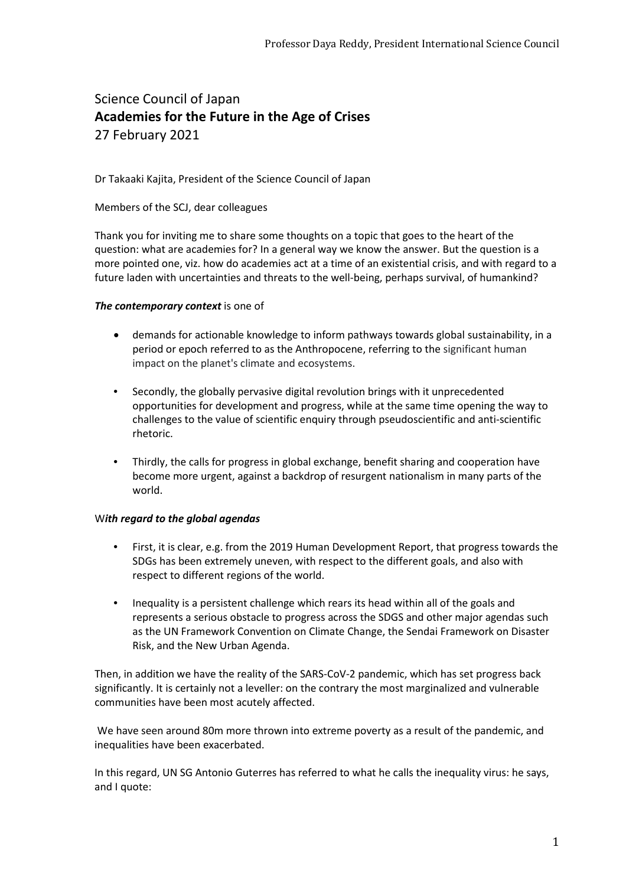# Science Council of Japan **Academies for the Future in the Age of Crises** 27 February 2021

# Dr Takaaki Kajita, President of the Science Council of Japan

## Members of the SCJ, dear colleagues

Thank you for inviting me to share some thoughts on a topic that goes to the heart of the question: what are academies for? In a general way we know the answer. But the question is a more pointed one, viz. how do academies act at a time of an existential crisis, and with regard to a future laden with uncertainties and threats to the well-being, perhaps survival, of humankind?

#### *The contemporary context* is one of

- demands for actionable knowledge to inform pathways towards global sustainability, in a period or epoch referred to as the Anthropocene, referring to the significant human impact on the planet's climate and ecosystems.
- Secondly, the globally pervasive digital revolution brings with it unprecedented opportunities for development and progress, while at the same time opening the way to challenges to the value of scientific enquiry through pseudoscientific and anti-scientific rhetoric.
- Thirdly, the calls for progress in global exchange, benefit sharing and cooperation have become more urgent, against a backdrop of resurgent nationalism in many parts of the world.

#### W*ith regard to the global agendas*

- First, it is clear, e.g. from the 2019 Human Development Report, that progress towards the SDGs has been extremely uneven, with respect to the different goals, and also with respect to different regions of the world.
- Inequality is a persistent challenge which rears its head within all of the goals and represents a serious obstacle to progress across the SDGS and other major agendas such as the UN Framework Convention on Climate Change, the Sendai Framework on Disaster Risk, and the New Urban Agenda.

Then, in addition we have the reality of the SARS-CoV-2 pandemic, which has set progress back significantly. It is certainly not a leveller: on the contrary the most marginalized and vulnerable communities have been most acutely affected.

We have seen around 80m more thrown into extreme poverty as a result of the pandemic, and inequalities have been exacerbated.

In this regard, UN SG Antonio Guterres has referred to what he calls the inequality virus: he says, and I quote: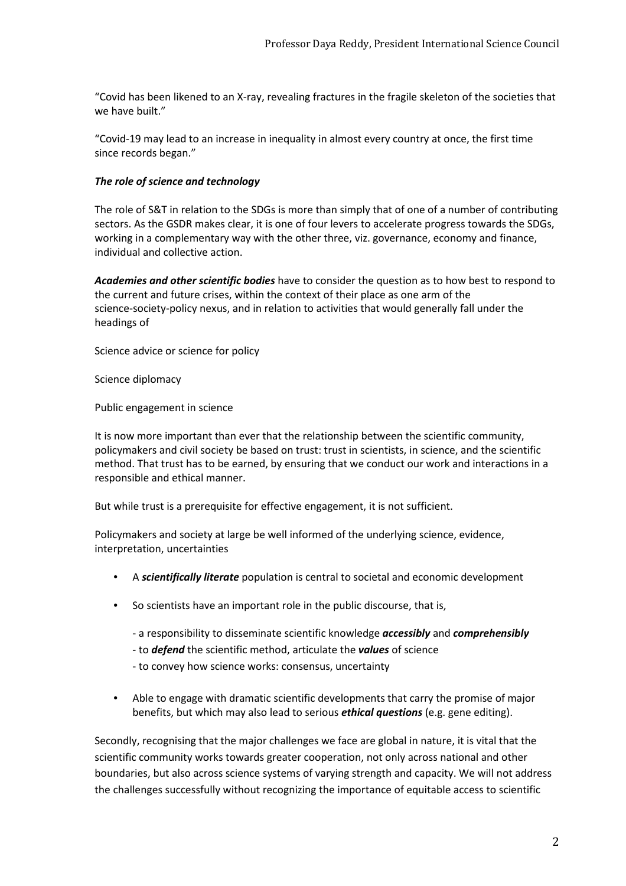"Covid has been likened to an X-ray, revealing fractures in the fragile skeleton of the societies that we have built."

"Covid-19 may lead to an increase in inequality in almost every country at once, the first time since records began."

## *The role of science and technology*

The role of S&T in relation to the SDGs is more than simply that of one of a number of contributing sectors. As the GSDR makes clear, it is one of four levers to accelerate progress towards the SDGs, working in a complementary way with the other three, viz. governance, economy and finance, individual and collective action.

*Academies and other scientific bodies* have to consider the question as to how best to respond to the current and future crises, within the context of their place as one arm of the science-society-policy nexus, and in relation to activities that would generally fall under the headings of

Science advice or science for policy

Science diplomacy

Public engagement in science

It is now more important than ever that the relationship between the scientific community, policymakers and civil society be based on trust: trust in scientists, in science, and the scientific method. That trust has to be earned, by ensuring that we conduct our work and interactions in a responsible and ethical manner.

But while trust is a prerequisite for effective engagement, it is not sufficient.

Policymakers and society at large be well informed of the underlying science, evidence, interpretation, uncertainties

- A *scientifically literate* population is central to societal and economic development
- So scientists have an important role in the public discourse, that is,
	- a responsibility to disseminate scientific knowledge *accessibly* and *comprehensibly*
	- to *defend* the scientific method, articulate the *values* of science
	- to convey how science works: consensus, uncertainty
- Able to engage with dramatic scientific developments that carry the promise of major benefits, but which may also lead to serious *ethical questions* (e.g. gene editing).

Secondly, recognising that the major challenges we face are global in nature, it is vital that the scientific community works towards greater cooperation, not only across national and other boundaries, but also across science systems of varying strength and capacity. We will not address the challenges successfully without recognizing the importance of equitable access to scientific